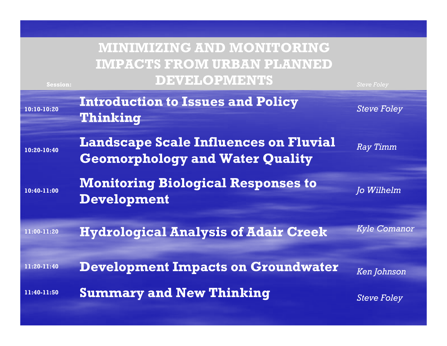#### **MINIMIZING AND MONITORING IMPACTS FROM URBAN PLANNED DEVELOPMENTS**

**Session:**

| 10:10-10:20 | <b>Introduction to Issues and Policy</b><br>Thinking                                   | <b>Steve Foley</b>  |
|-------------|----------------------------------------------------------------------------------------|---------------------|
| 10:20-10:40 | <b>Landscape Scale Influences on Fluvial</b><br><b>Geomorphology and Water Quality</b> | <b>Ray Timm</b>     |
| 10:40-11:00 | <b>Monitoring Biological Responses to</b><br><b>Development</b>                        | Jo Wilhelm          |
| 11:00-11:20 | <b>Hydrological Analysis of Adair Creek</b>                                            | <b>Kyle Comanor</b> |
| 11:20-11:40 | <b>Development Impacts on Groundwater</b>                                              | <b>Ken Johnson</b>  |
| 11:40-11:50 | <b>Summary and New Thinking</b>                                                        | <b>Steve Foley</b>  |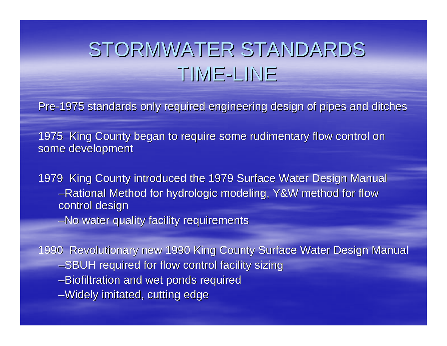#### STORMWATER STANDARDS TIME -LINE

Pre-1975 standards only required engineering design of pipes and ditches

1975 King County began to require some rudimentary flow control on some development

1979 King County introduced the 1979 Surface Water Design Manual –Rational Method for hydrologic modeling, Y&W method for flow control design

–No water quality facility requirements

1990 Revolutionary new 1990 King County Surface Water Design Manual –SBUH required for flow control facility sizing –Biofiltration and wet ponds required –Widely imitated, cutting edge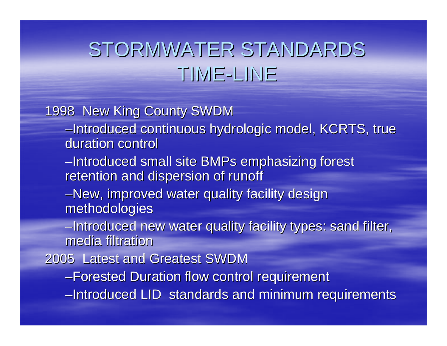#### STORMWATER STANDARDS TIME -LINE

#### 1998 New King County SWDM

- –Introduced continuous hydrologic model, KCRTS, true Introduced continuous hydrologic model, KCRTS, true duration control
- –Introduced small site BMPs emphasizing forest Introduced small site BMPs emphasizing forest retention and dispersion of runoff
- –New, improved water quality facility design methodologies methodologies
- –Introduced new water quality facility types: sand filter, media filtration
- 2005 Latest and Greatest SWDM 2005 Latest and Greatest SWDM
	- –Forested Duration flow control requirement
	- –Introduced LID standards and minimum requirements Introduced LID standards and minimum requirements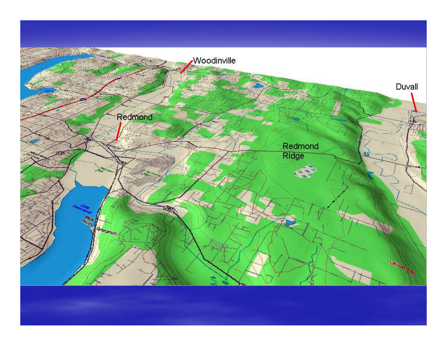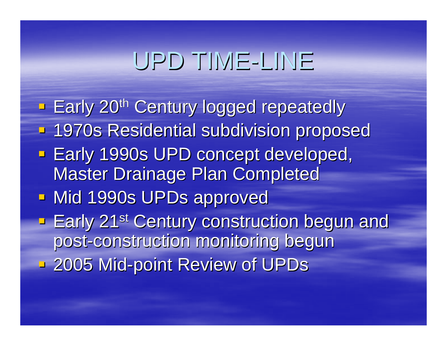## UPD TIME-LINE

**Early 20<sup>th</sup> Century logged repeatedly - 1970s Residential subdivision proposed Early 1990s UPD concept developed, Master Drainage Plan Completed - Mid 1990s UPDs approved Early 21<sup>st</sup> Century construction begun and Lengtury 21st Century construction begun and** post-construction monitoring begun **2005 Mid-point Review of UPDs**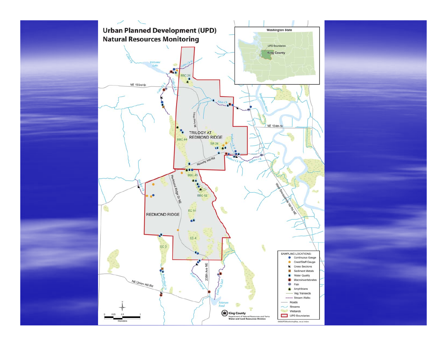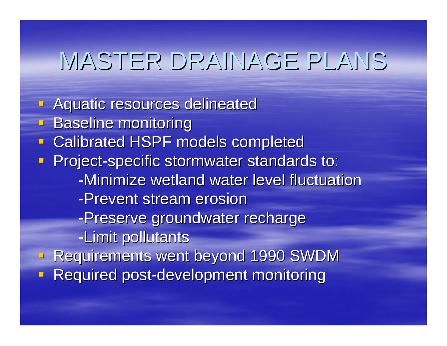## MASTER DRAINAGE PLANS

**Aquatic resources delineated Baseline monitoring - Calibrated HSPF models completed - Project-specific stormwater standards to:** -Minimize wetland water level fluctuation -Prevent stream erosion -Preserve groundwater recharge -Limit pollutants **Requirements went beyond 1990 SWDM - Required post-development monitoring**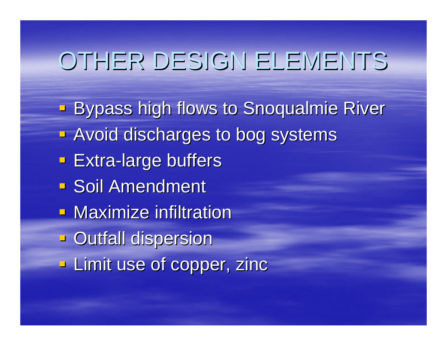### OTHER DESIGN ELEMENTS

**Bypass high flows to Snoqualmie River** Bypass high flows to Snoqualmie River **- Avoid discharges to bog systems Extra-large buffers Soil Amendment - Maximize infiltration Dutfall dispersion - Limit use of copper, zinc**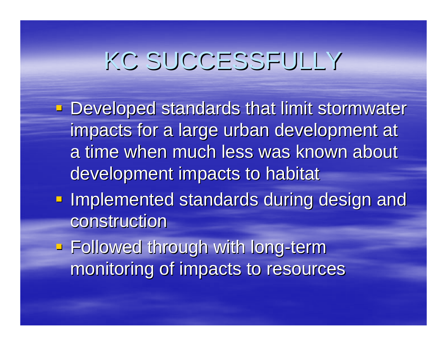# KC SUCCESSFULLY

- **Developed standards that limit stormwater** impacts for a large urban development at a time when much less was known about development impacts to habitat
- **Implemented standards during design and** construction
- **Followed through with long-term** monitoring of impacts to resources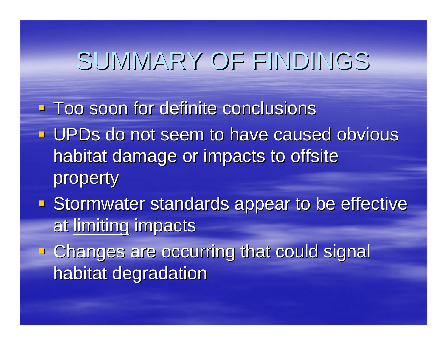### SUMMARY OF FINDINGS

- **Too soon for definite conclusions**
- **UPDs do not seem to have caused obvious** habitat damage or impacts to offsite property
- **Stormwater standards appear to be effective** at limiting impacts
- **Example 2 are occurring that could signal Changes are occurring that could signal** habitat degradation